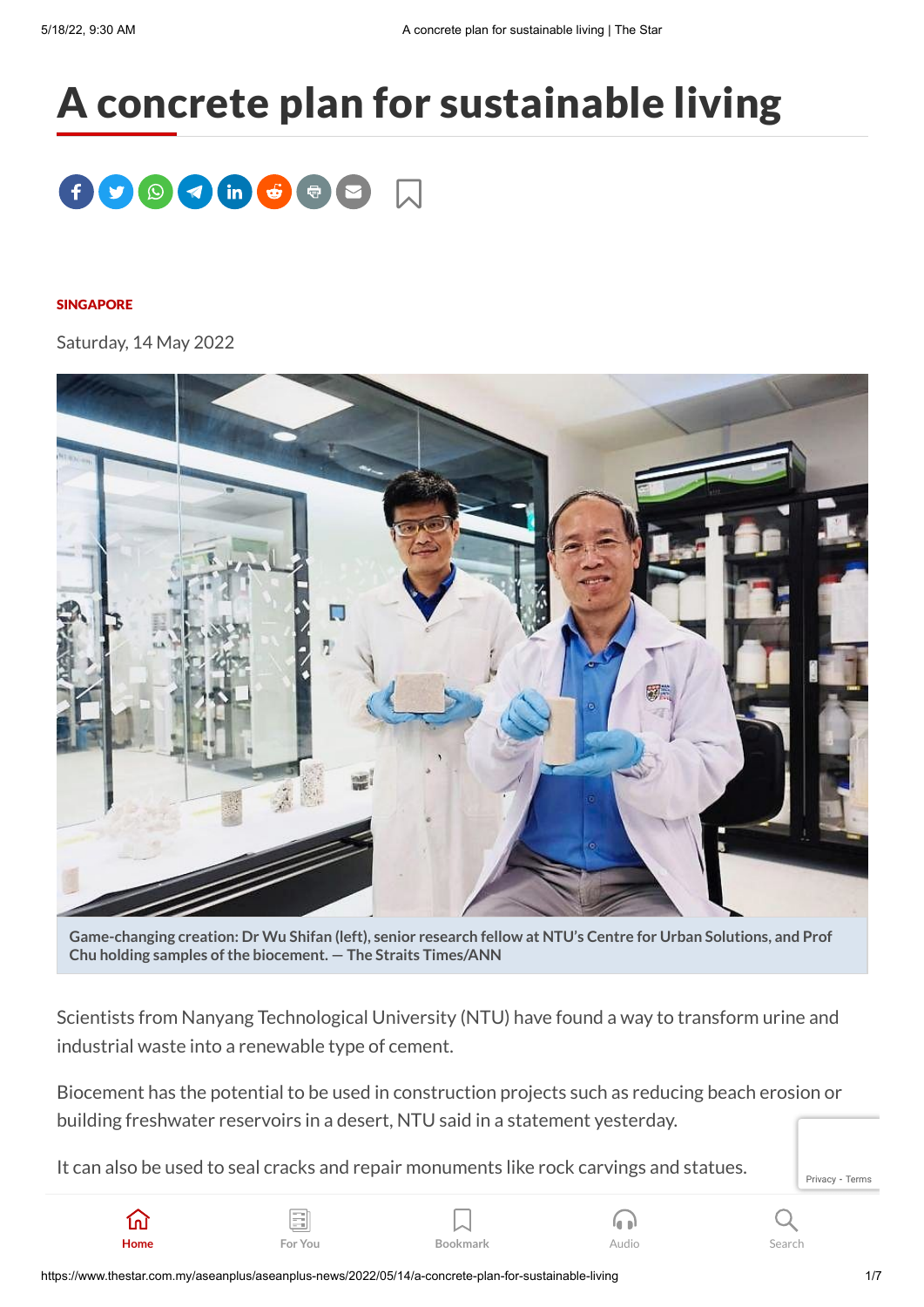## A concrete plan for sustainable living



## [SINGAPORE](https://www.thestar.com.my/tag/singapore)

Saturday, 14 May 2022



Game-changing creation: Dr Wu Shifan (left), senior research fellow at NTU's Centre for Urban Solutions, and Prof **Chu** holding samples of the biocement.  $-$  The Straits Times/ANN

Scientists from Nanyang Technological University (NTU) have found a way to transform urine and industrial waste into a renewable type of cement.

Biocement has the potential to be used in construction projects such as reducing beach erosion or building freshwater reservoirs in a desert, NTU said in a statement yesterday.

It can also be used to seal cracks and repair monuments like rock carvings and statues.

[Privacy](https://www.google.com/intl/en/policies/privacy/) - [Terms](https://www.google.com/intl/en/policies/terms/)